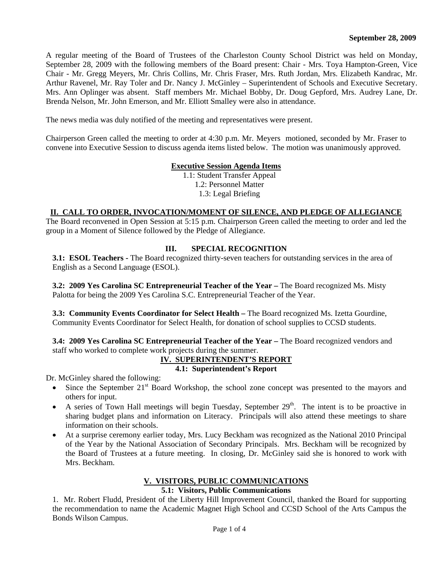A regular meeting of the Board of Trustees of the Charleston County School District was held on Monday, September 28, 2009 with the following members of the Board present: Chair - Mrs. Toya Hampton-Green, Vice Chair - Mr. Gregg Meyers, Mr. Chris Collins, Mr. Chris Fraser, Mrs. Ruth Jordan, Mrs. Elizabeth Kandrac, Mr. Arthur Ravenel, Mr. Ray Toler and Dr. Nancy J. McGinley – Superintendent of Schools and Executive Secretary. Mrs. Ann Oplinger was absent. Staff members Mr. Michael Bobby, Dr. Doug Gepford, Mrs. Audrey Lane, Dr. Brenda Nelson, Mr. John Emerson, and Mr. Elliott Smalley were also in attendance.

The news media was duly notified of the meeting and representatives were present.

Chairperson Green called the meeting to order at 4:30 p.m. Mr. Meyers motioned, seconded by Mr. Fraser to convene into Executive Session to discuss agenda items listed below. The motion was unanimously approved.

#### **Executive Session Agenda Items**

1.1: Student Transfer Appeal 1.2: Personnel Matter 1.3: Legal Briefing

### **II. CALL TO ORDER, INVOCATION/MOMENT OF SILENCE, AND PLEDGE OF ALLEGIANCE**

The Board reconvened in Open Session at 5:15 p.m. Chairperson Green called the meeting to order and led the group in a Moment of Silence followed by the Pledge of Allegiance.

# **III. SPECIAL RECOGNITION**

**3.1: ESOL Teachers - The Board recognized thirty-seven teachers for outstanding services in the area of** English as a Second Language (ESOL).

**3.2: 2009 Yes Carolina SC Entrepreneurial Teacher of the Year –** The Board recognized Ms. Misty Palotta for being the 2009 Yes Carolina S.C. Entrepreneurial Teacher of the Year.

**3.3: Community Events Coordinator for Select Health – The Board recognized Ms. Izetta Gourdine,** Community Events Coordinator for Select Health, for donation of school supplies to CCSD students.

**3.4: 2009 Yes Carolina SC Entrepreneurial Teacher of the Year –** The Board recognized vendors and staff who worked to complete work projects during the summer.

#### **IV. SUPERINTENDENT'S REPORT**

# **4.1: Superintendent's Report**

Dr. McGinley shared the following:

- $\bullet$  Since the September 21<sup>st</sup> Board Workshop, the school zone concept was presented to the mayors and others for input.
- A series of Town Hall meetings will begin Tuesday, September  $29<sup>th</sup>$ . The intent is to be proactive in sharing budget plans and information on Literacy. Principals will also attend these meetings to share information on their schools.
- At a surprise ceremony earlier today, Mrs. Lucy Beckham was recognized as the National 2010 Principal of the Year by the National Association of Secondary Principals. Mrs. Beckham will be recognized by the Board of Trustees at a future meeting. In closing, Dr. McGinley said she is honored to work with Mrs. Beckham.

### **V. VISITORS, PUBLIC COMMUNICATIONS**

### **5.1: Visitors, Public Communications**

1. Mr. Robert Fludd, President of the Liberty Hill Improvement Council, thanked the Board for supporting the recommendation to name the Academic Magnet High School and CCSD School of the Arts Campus the Bonds Wilson Campus.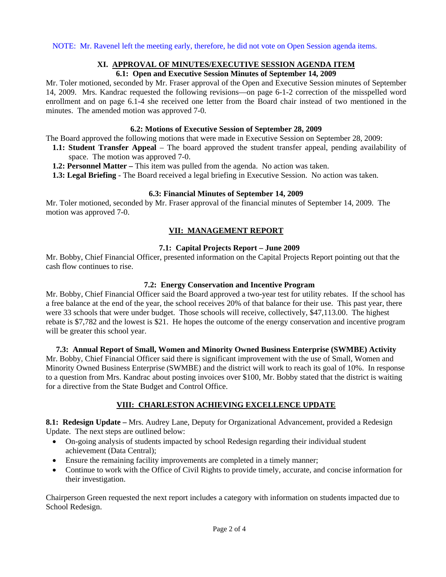NOTE: Mr. Ravenel left the meeting early, therefore, he did not vote on Open Session agenda items.

### **XI. APPROVAL OF MINUTES/EXECUTIVE SESSION AGENDA ITEM**

### **6.1: Open and Executive Session Minutes of September 14, 2009**

Mr. Toler motioned, seconded by Mr. Fraser approval of the Open and Executive Session minutes of September 14, 2009. Mrs. Kandrac requested the following revisions—on page 6-1-2 correction of the misspelled word enrollment and on page 6.1-4 she received one letter from the Board chair instead of two mentioned in the minutes. The amended motion was approved 7-0.

#### **6.2: Motions of Executive Session of September 28, 2009**

The Board approved the following motions that were made in Executive Session on September 28, 2009:

- **1.1: Student Transfer Appeal**  The board approved the student transfer appeal, pending availability of space. The motion was approved 7-0.
- **1.2: Personnel Matter This item was pulled from the agenda. No action was taken.**
- **1.3: Legal Briefing** The Board received a legal briefing in Executive Session. No action was taken.

#### **6.3: Financial Minutes of September 14, 2009**

Mr. Toler motioned, seconded by Mr. Fraser approval of the financial minutes of September 14, 2009. The motion was approved 7-0.

# **VII: MANAGEMENT REPORT**

### **7.1: Capital Projects Report – June 2009**

Mr. Bobby, Chief Financial Officer, presented information on the Capital Projects Report pointing out that the cash flow continues to rise.

### **7.2: Energy Conservation and Incentive Program**

Mr. Bobby, Chief Financial Officer said the Board approved a two-year test for utility rebates. If the school has a free balance at the end of the year, the school receives 20% of that balance for their use. This past year, there were 33 schools that were under budget. Those schools will receive, collectively, \$47,113.00. The highest rebate is \$7,782 and the lowest is \$21. He hopes the outcome of the energy conservation and incentive program will be greater this school year.

**7.3: Annual Report of Small, Women and Minority Owned Business Enterprise (SWMBE) Activity**  Mr. Bobby, Chief Financial Officer said there is significant improvement with the use of Small, Women and Minority Owned Business Enterprise (SWMBE) and the district will work to reach its goal of 10%. In response to a question from Mrs. Kandrac about posting invoices over \$100, Mr. Bobby stated that the district is waiting for a directive from the State Budget and Control Office.

### **VIII: CHARLESTON ACHIEVING EXCELLENCE UPDATE**

**8.1: Redesign Update –** Mrs. Audrey Lane, Deputy for Organizational Advancement, provided a Redesign Update. The next steps are outlined below:

- On-going analysis of students impacted by school Redesign regarding their individual student achievement (Data Central);
- Ensure the remaining facility improvements are completed in a timely manner;
- Continue to work with the Office of Civil Rights to provide timely, accurate, and concise information for their investigation.

Chairperson Green requested the next report includes a category with information on students impacted due to School Redesign.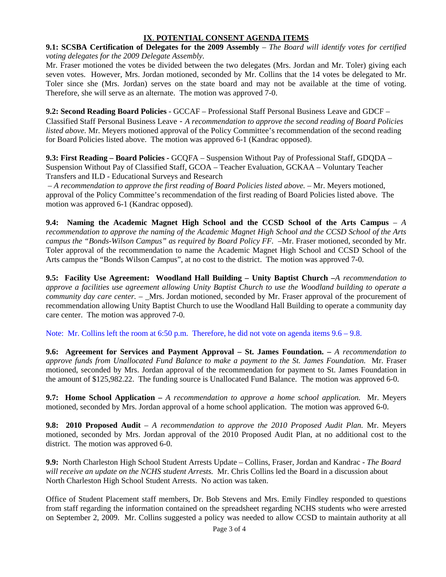# **IX**. **POTENTIAL CONSENT AGENDA ITEMS**

**9.1: SCSBA Certification of Delegates for the 2009 Assembly** – *The Board will identify votes for certified voting delegates for the 2009 Delegate Assembly*.

Mr. Fraser motioned the votes be divided between the two delegates (Mrs. Jordan and Mr. Toler) giving each seven votes. However, Mrs. Jordan motioned, seconded by Mr. Collins that the 14 votes be delegated to Mr. Toler since she (Mrs. Jordan) serves on the state board and may not be available at the time of voting. Therefore, she will serve as an alternate. The motion was approved 7-0.

**9.2: Second Reading Board Policies** - GCCAF – Professional Staff Personal Business Leave and GDCF – Classified Staff Personal Business Leave - *A recommendation to approve the second reading of Board Policies listed above.* Mr. Meyers motioned approval of the Policy Committee's recommendation of the second reading for Board Policies listed above. The motion was approved 6-1 (Kandrac opposed).

**9.3: First Reading – Board Policies -** GCQFA – Suspension Without Pay of Professional Staff, GDQDA – Suspension Without Pay of Classified Staff, GCOA – Teacher Evaluation, GCKAA – Voluntary Teacher Transfers and ILD - Educational Surveys and Research

– *A recommendation to approve the first reading of Board Policies listed above. –* Mr. Meyers motioned, approval of the Policy Committee's recommendation of the first reading of Board Policies listed above. The motion was approved 6-1 (Kandrac opposed).

**9.4: Naming the Academic Magnet High School and the CCSD School of the Arts Campus** – *A recommendation to approve the naming of the Academic Magnet High School and the CCSD School of the Arts campus the "Bonds-Wilson Campus" as required by Board Policy FF.*  $-Mr$ . Fraser motioned, seconded by Mr. Toler approval of the recommendation to name the Academic Magnet High School and CCSD School of the Arts campus the "Bonds Wilson Campus", at no cost to the district. The motion was approved 7-0.

**9.5: Facility Use Agreement: Woodland Hall Building – Unity Baptist Church –***A recommendation to approve a facilities use agreement allowing Unity Baptist Church to use the Woodland building to operate a community day care center.* – \_Mrs. Jordan motioned, seconded by Mr. Fraser approval of the procurement of recommendation allowing Unity Baptist Church to use the Woodland Hall Building to operate a community day care center. The motion was approved 7-0.

Note: Mr. Collins left the room at 6:50 p.m. Therefore, he did not vote on agenda items  $9.6 - 9.8$ .

**9.6: Agreement for Services and Payment Approval – St. James Foundation.** *– A recommendation to approve funds from Unallocated Fund Balance to make a payment to the St. James Foundation.* Mr. Fraser motioned, seconded by Mrs. Jordan approval of the recommendation for payment to St. James Foundation in the amount of \$125,982.22. The funding source is Unallocated Fund Balance. The motion was approved 6-0.

**9.7: Home School Application –** *A recommendation to approve a home school application.* Mr. Meyers motioned, seconded by Mrs. Jordan approval of a home school application. The motion was approved 6-0.

**9.8: 2010 Proposed Audit** – *A recommendation to approve the 2010 Proposed Audit Plan.* Mr. Meyers motioned, seconded by Mrs. Jordan approval of the 2010 Proposed Audit Plan, at no additional cost to the district. The motion was approved 6-0.

**9.9:** North Charleston High School Student Arrests Update – Collins, Fraser, Jordan and Kandrac - *The Board will receive an update on the NCHS student Arrests.* Mr. Chris Collins led the Board in a discussion about North Charleston High School Student Arrests. No action was taken.

Office of Student Placement staff members, Dr. Bob Stevens and Mrs. Emily Findley responded to questions from staff regarding the information contained on the spreadsheet regarding NCHS students who were arrested on September 2, 2009. Mr. Collins suggested a policy was needed to allow CCSD to maintain authority at all